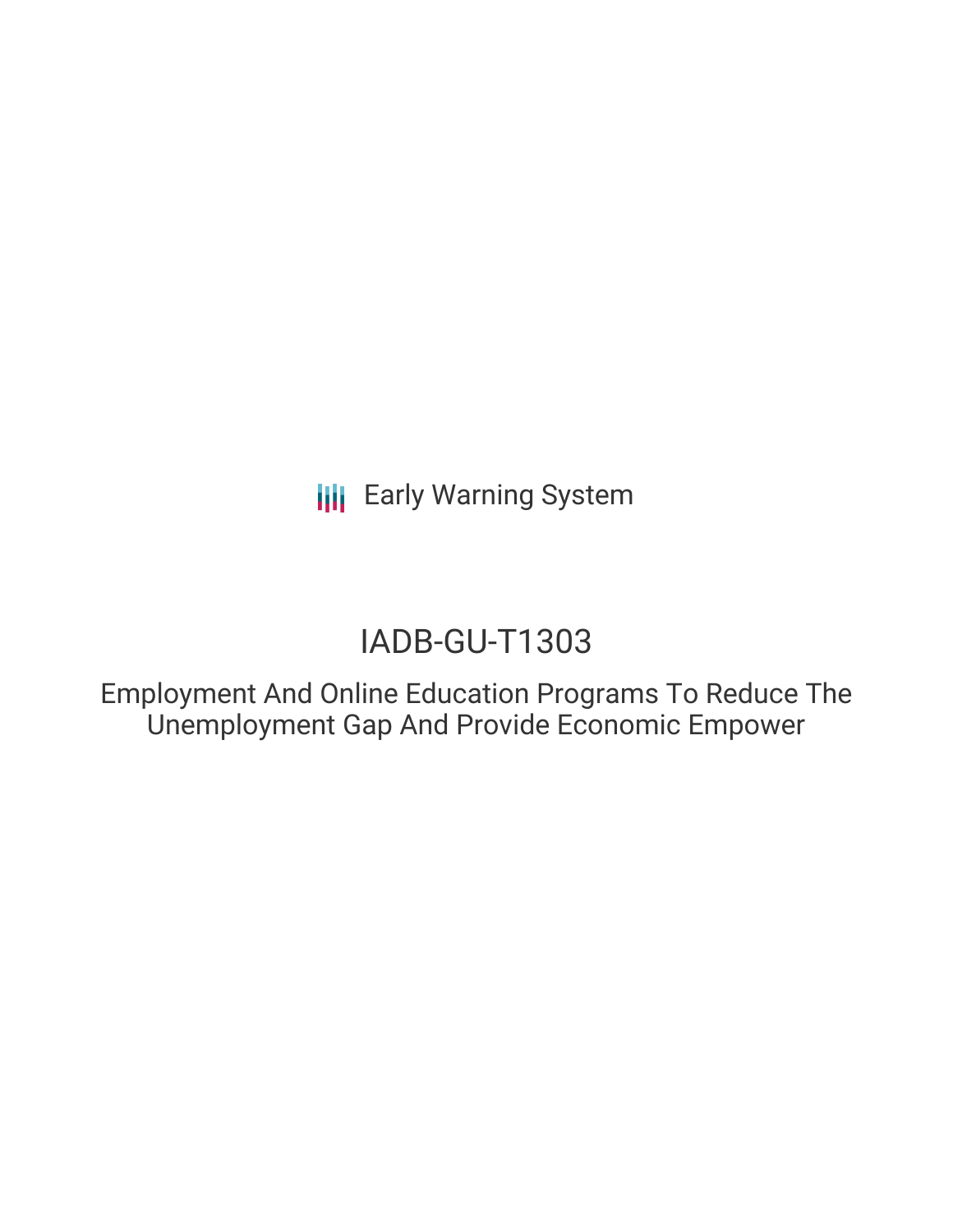**III** Early Warning System

# IADB-GU-T1303

Employment And Online Education Programs To Reduce The Unemployment Gap And Provide Economic Empower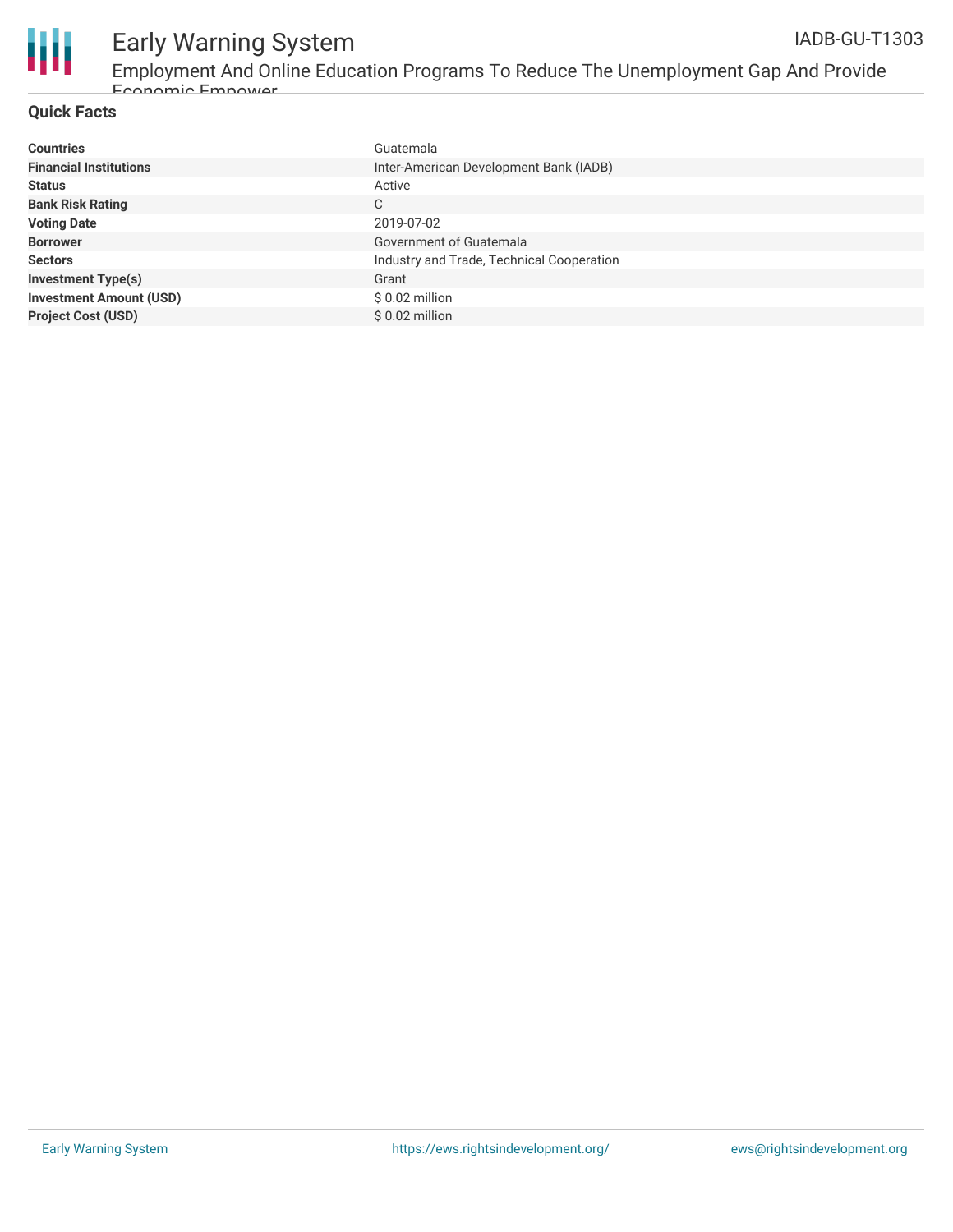

## **Quick Facts**

| <b>Countries</b>               | Guatemala                                 |
|--------------------------------|-------------------------------------------|
| <b>Financial Institutions</b>  | Inter-American Development Bank (IADB)    |
| <b>Status</b>                  | Active                                    |
| <b>Bank Risk Rating</b>        | C                                         |
| <b>Voting Date</b>             | 2019-07-02                                |
| <b>Borrower</b>                | Government of Guatemala                   |
| <b>Sectors</b>                 | Industry and Trade, Technical Cooperation |
| <b>Investment Type(s)</b>      | Grant                                     |
| <b>Investment Amount (USD)</b> | $$0.02$ million                           |
| <b>Project Cost (USD)</b>      | $$0.02$ million                           |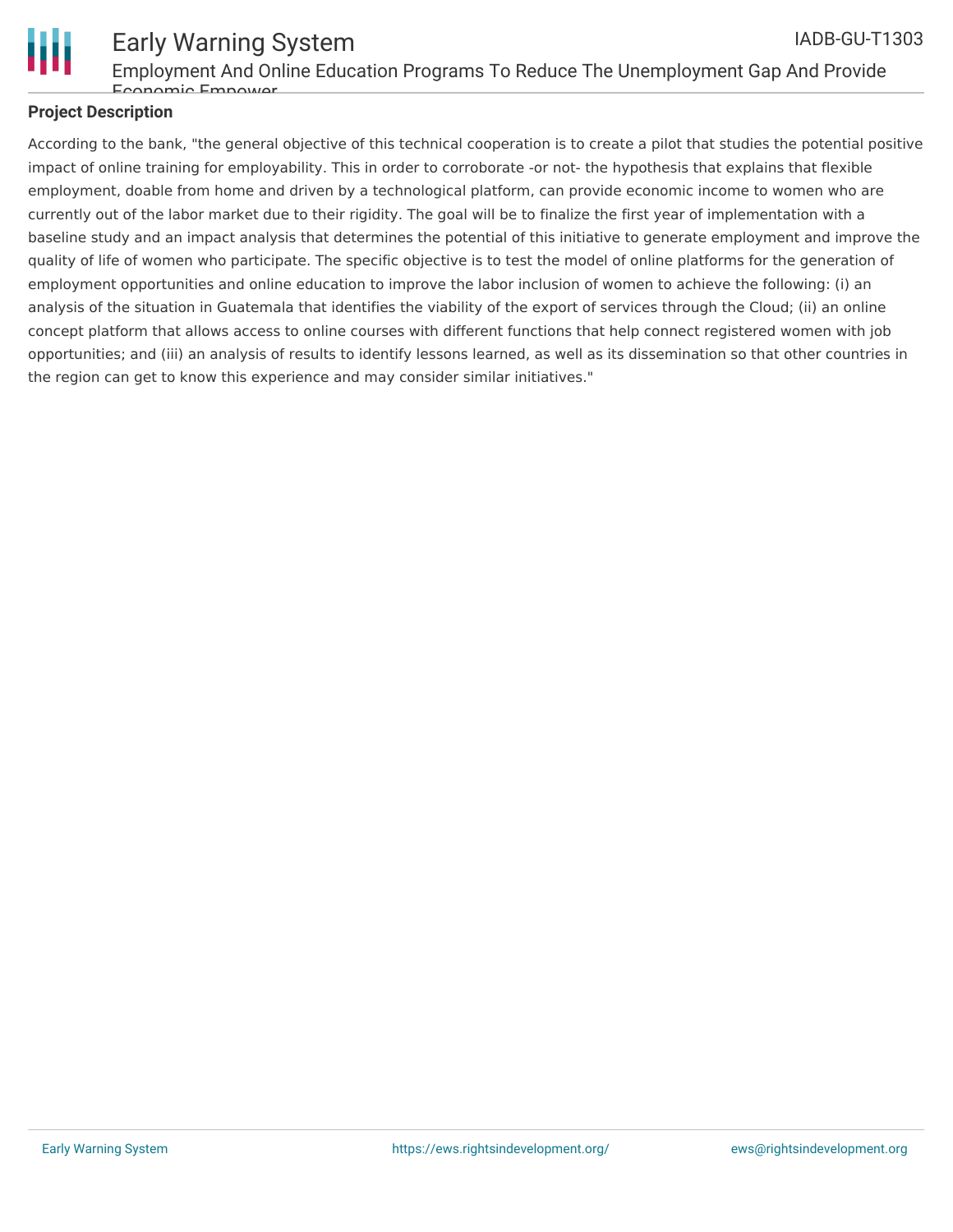

# **Project Description**

According to the bank, "the general objective of this technical cooperation is to create a pilot that studies the potential positive impact of online training for employability. This in order to corroborate -or not- the hypothesis that explains that flexible employment, doable from home and driven by a technological platform, can provide economic income to women who are currently out of the labor market due to their rigidity. The goal will be to finalize the first year of implementation with a baseline study and an impact analysis that determines the potential of this initiative to generate employment and improve the quality of life of women who participate. The specific objective is to test the model of online platforms for the generation of employment opportunities and online education to improve the labor inclusion of women to achieve the following: (i) an analysis of the situation in Guatemala that identifies the viability of the export of services through the Cloud; (ii) an online concept platform that allows access to online courses with different functions that help connect registered women with job opportunities; and (iii) an analysis of results to identify lessons learned, as well as its dissemination so that other countries in the region can get to know this experience and may consider similar initiatives."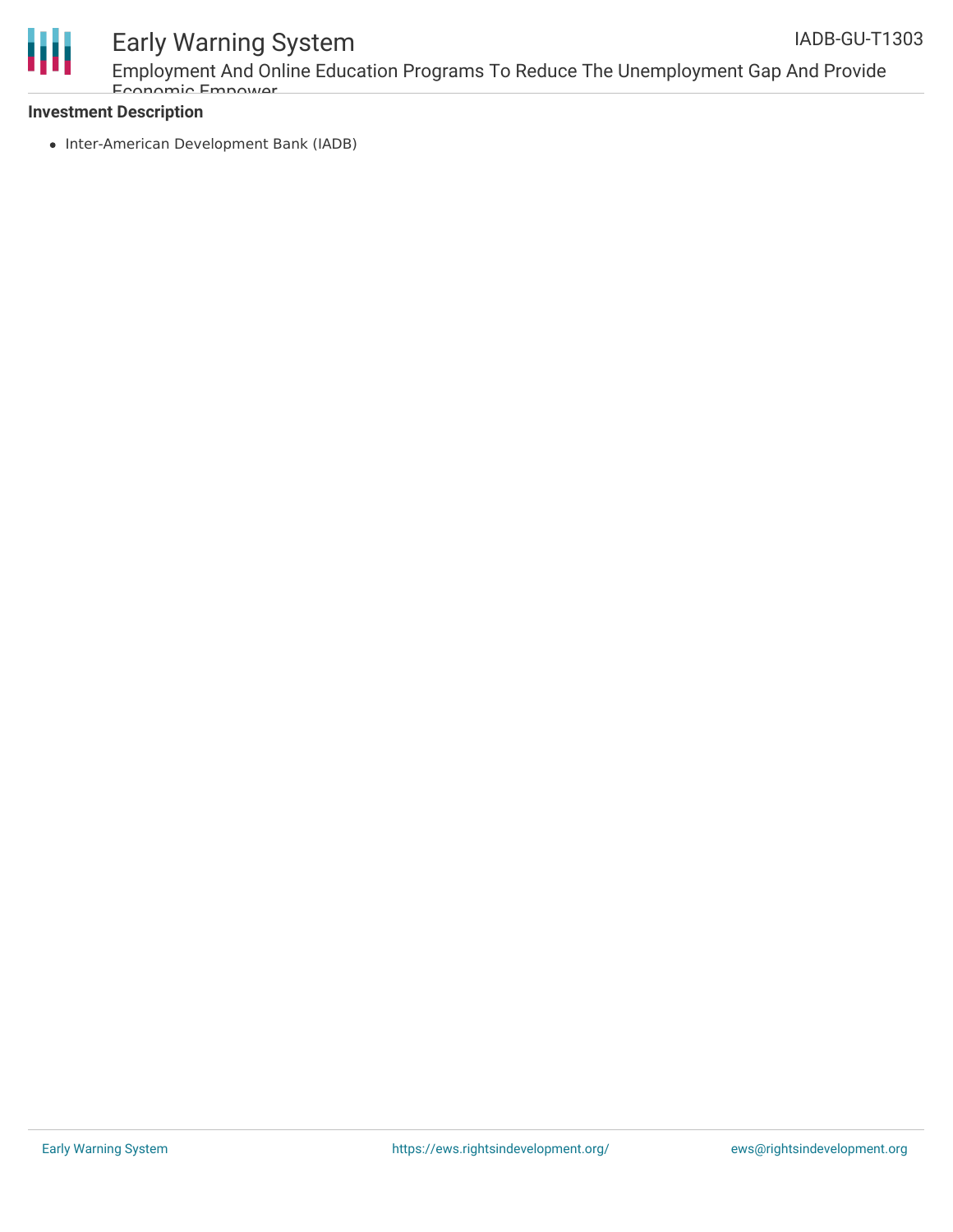

#### Early Warning System Employment And Online Education Programs To Reduce The Unemployment Gap And Provide Economic Empower IADB-GU-T1303

## **Investment Description**

• Inter-American Development Bank (IADB)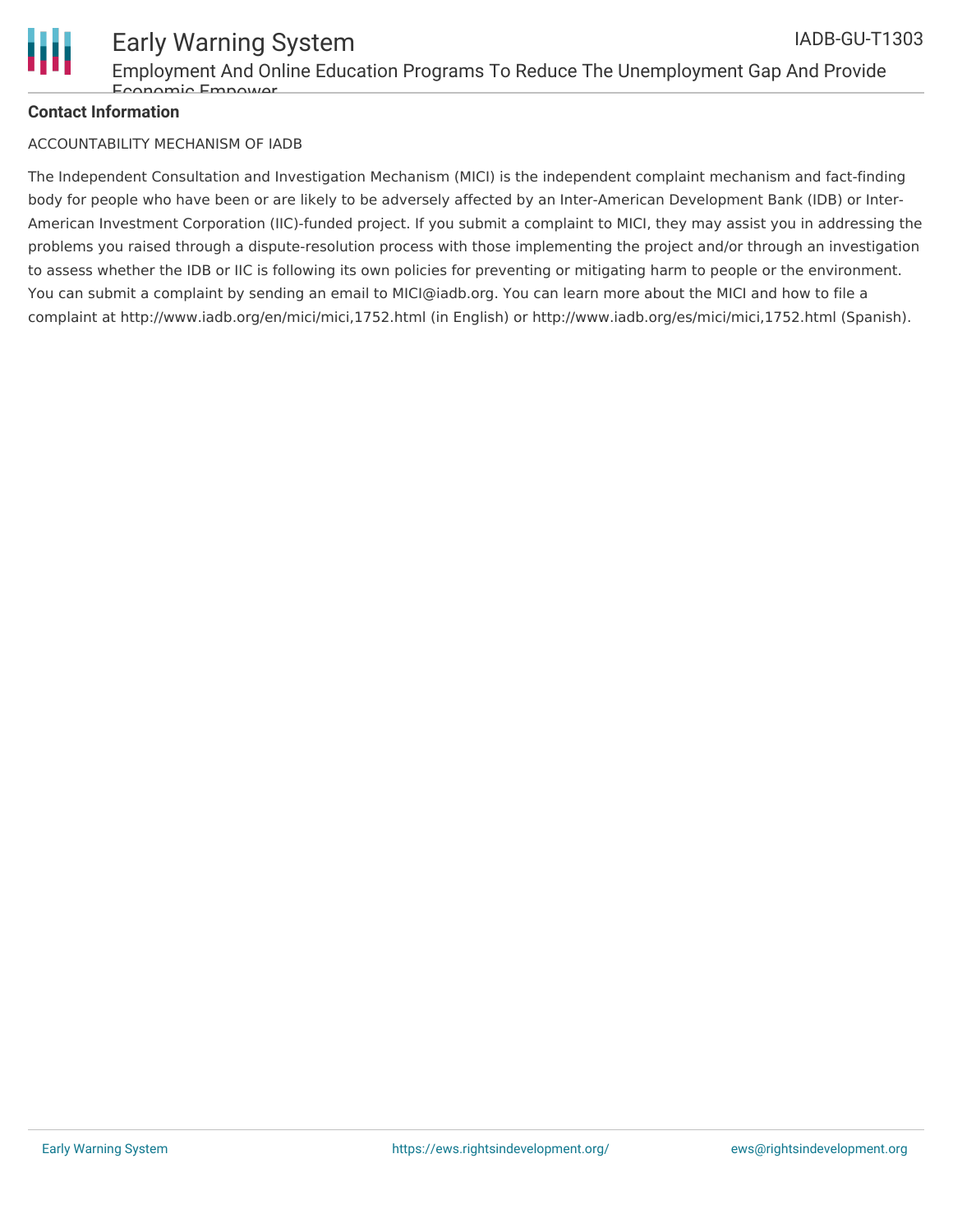

# **Contact Information**

#### ACCOUNTABILITY MECHANISM OF IADB

The Independent Consultation and Investigation Mechanism (MICI) is the independent complaint mechanism and fact-finding body for people who have been or are likely to be adversely affected by an Inter-American Development Bank (IDB) or Inter-American Investment Corporation (IIC)-funded project. If you submit a complaint to MICI, they may assist you in addressing the problems you raised through a dispute-resolution process with those implementing the project and/or through an investigation to assess whether the IDB or IIC is following its own policies for preventing or mitigating harm to people or the environment. You can submit a complaint by sending an email to MICI@iadb.org. You can learn more about the MICI and how to file a complaint at http://www.iadb.org/en/mici/mici,1752.html (in English) or http://www.iadb.org/es/mici/mici,1752.html (Spanish).